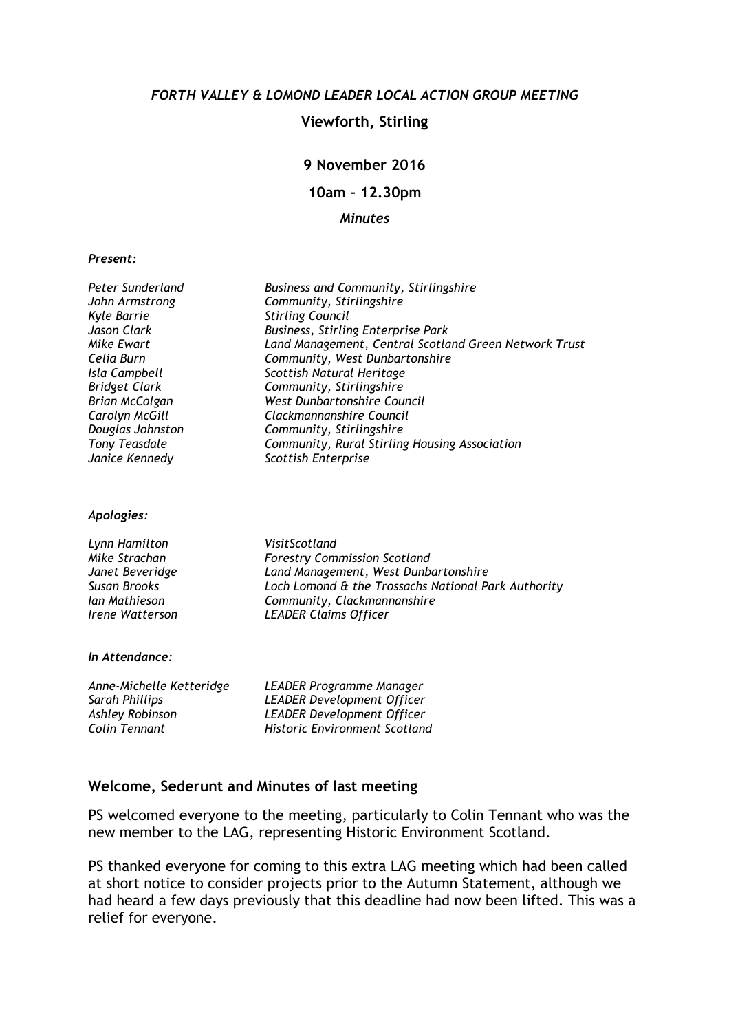### FORTH VALLEY & LOMOND LEADER LOCAL ACTION GROUP MEETING

### Viewforth, Stirling

### 9 November 2016

10am – 12.30pm

### Minutes

#### Present:

| Peter Sunderland<br>John Armstrong<br><b>Kyle Barrie</b> | <b>Business and Community, Stirlingshire</b><br>Community, Stirlingshire<br><b>Stirling Council</b> |
|----------------------------------------------------------|-----------------------------------------------------------------------------------------------------|
| Jason Clark                                              | Business, Stirling Enterprise Park                                                                  |
| <b>Mike Ewart</b>                                        | Land Management, Central Scotland Green Network Trust                                               |
| Celia Burn                                               | Community, West Dunbartonshire                                                                      |
| Isla Campbell                                            | Scottish Natural Heritage                                                                           |
| <b>Bridget Clark</b>                                     | Community, Stirlingshire                                                                            |
| <b>Brian McColgan</b>                                    | West Dunbartonshire Council                                                                         |
| Carolyn McGill                                           | Clackmannanshire Council                                                                            |
| Douglas Johnston                                         | Community, Stirlingshire                                                                            |
| <b>Tony Teasdale</b>                                     | Community, Rural Stirling Housing Association                                                       |
| Janice Kennedy                                           | Scottish Enterprise                                                                                 |
| Apologies:                                               |                                                                                                     |
| Lynn Hamilton                                            | VisitScotland                                                                                       |
| Mike Strachan                                            | <b>Forestry Commission Scotland</b>                                                                 |
| Janet Beveridge                                          | Land Management, West Dunbartonshire                                                                |
| <b>Susan Brooks</b>                                      | Loch Lomond & the Trossachs National Park Authority                                                 |
| Ian Mathieson                                            | Community, Clackmannanshire                                                                         |
| Irene Watterson                                          | <b>LEADER Claims Officer</b>                                                                        |
| In Attendance:                                           |                                                                                                     |
|                                                          |                                                                                                     |
| Anne-Michelle Ketteridge                                 | LEADER Programme Manager                                                                            |
| <b>Sarah Phillips</b>                                    | <b>LEADER Development Officer</b>                                                                   |
| <b>Ashley Robinson</b>                                   | <b>LEADER Development Officer</b>                                                                   |
| Colin Tennant                                            | <b>Historic Environment Scotland</b>                                                                |

### Welcome, Sederunt and Minutes of last meeting

PS welcomed everyone to the meeting, particularly to Colin Tennant who was the new member to the LAG, representing Historic Environment Scotland.

PS thanked everyone for coming to this extra LAG meeting which had been called at short notice to consider projects prior to the Autumn Statement, although we had heard a few days previously that this deadline had now been lifted. This was a relief for everyone.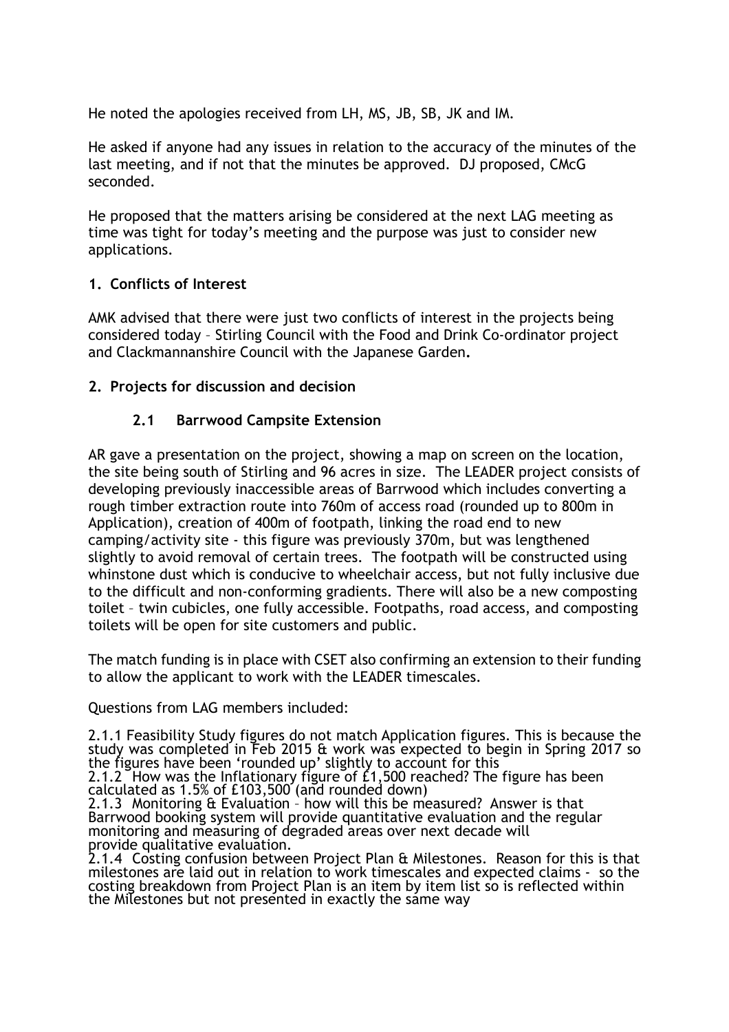He noted the apologies received from LH, MS, JB, SB, JK and IM.

He asked if anyone had any issues in relation to the accuracy of the minutes of the last meeting, and if not that the minutes be approved. DJ proposed, CMcG seconded.

He proposed that the matters arising be considered at the next LAG meeting as time was tight for today's meeting and the purpose was just to consider new applications.

## 1. Conflicts of Interest

AMK advised that there were just two conflicts of interest in the projects being considered today – Stirling Council with the Food and Drink Co-ordinator project and Clackmannanshire Council with the Japanese Garden.

## 2. Projects for discussion and decision

## 2.1 Barrwood Campsite Extension

AR gave a presentation on the project, showing a map on screen on the location, the site being south of Stirling and 96 acres in size. The LEADER project consists of developing previously inaccessible areas of Barrwood which includes converting a rough timber extraction route into 760m of access road (rounded up to 800m in Application), creation of 400m of footpath, linking the road end to new camping/activity site - this figure was previously 370m, but was lengthened slightly to avoid removal of certain trees. The footpath will be constructed using whinstone dust which is conducive to wheelchair access, but not fully inclusive due to the difficult and non-conforming gradients. There will also be a new composting toilet – twin cubicles, one fully accessible. Footpaths, road access, and composting toilets will be open for site customers and public.

The match funding is in place with CSET also confirming an extension to their funding to allow the applicant to work with the LEADER timescales.

Questions from LAG members included:

2.1.1 Feasibility Study figures do not match Application figures. This is because the study was completed in Feb 2015 & work was expected to begin in Spring 2017 so the figures have been 'rounded up' slightly to account for this

2.1.2 How was the Inflationary figure of £1,500 reached? The figure has been calculated as 1.5% of £103,500 (and rounded down)

2.1.3 Monitoring & Evaluation – how will this be measured? Answer is that Barrwood booking system will provide quantitative evaluation and the regular monitoring and measuring of degraded areas over next decade will provide qualitative evaluation.

2.1.4 Costing confusion between Project Plan & Milestones. Reason for this is that milestones are laid out in relation to work timescales and expected claims - so the costing breakdown from Project Plan is an item by item list so is reflected within the Milestones but not presented in exactly the same way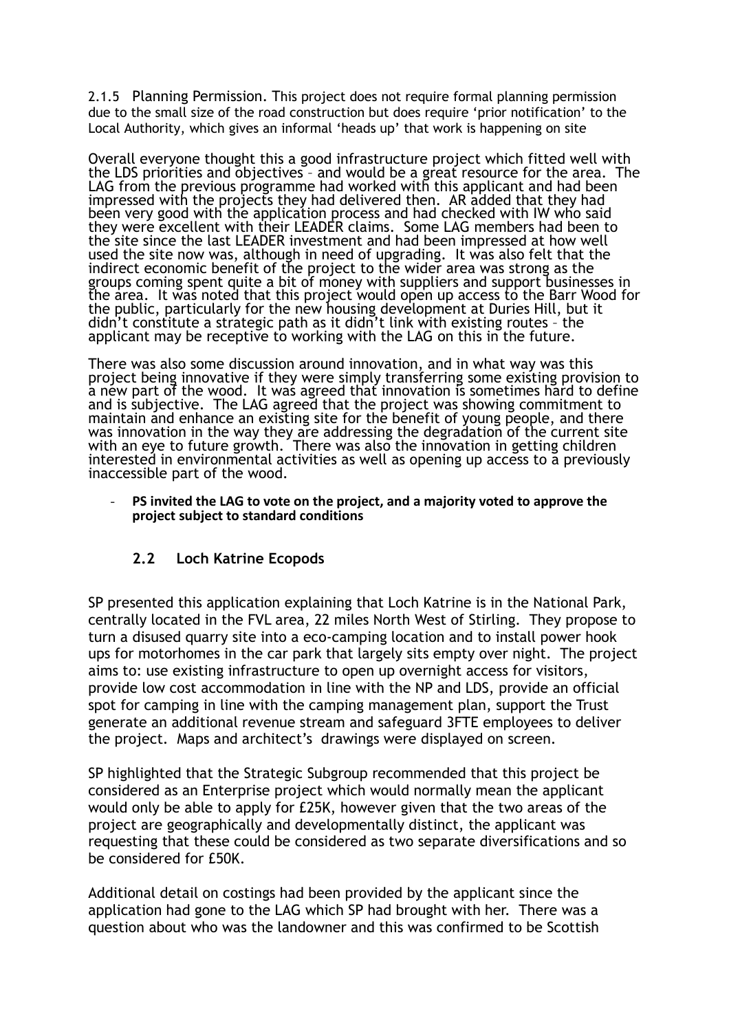2.1.5 Planning Permission. This project does not require formal planning permission due to the small size of the road construction but does require 'prior notification' to the Local Authority, which gives an informal 'heads up' that work is happening on site

Overall everyone thought this a good infrastructure project which fitted well with the LDS priorities and objectives – and would be a great resource for the area. The LAG from the previous programme had worked with this applicant and had been impressed with the projects they had delivered then. AR added that they had been very good with the application process and had checked with IW who said they were excellent with their LEADER claims. Some LAG members had been to the site since the last LEADER investment and had been impressed at how well used the site now was, although in need of upgrading. It was also felt that the indirect economic benefit of the project to the wider area was strong as the groups coming spent quite a bit of money with suppliers and support businesses in the area. It was noted that this project would open up access to the Barr Wood for the public, particularly for the new housing development at Duries Hill, but it didn't constitute a strategic path as it didn't link with existing routes – the applicant may be receptive to working with the LAG on this in the future.

There was also some discussion around innovation, and in what way was this project being innovative if they were simply transferring some existing provision to a new part of the wood. It was agreed that innovation is sometimes hard to define and is subjective. The LAG agreed that the project was showing commitment to maintain and enhance an existing site for the benefit of young people, and there was innovation in the way they are addressing the degradation of the current site with an eye to future growth. There was also the innovation in getting children interested in environmental activities as well as opening up access to a previously inaccessible part of the wood.

#### PS invited the LAG to vote on the project, and a majority voted to approve the project subject to standard conditions

## 2.2 Loch Katrine Ecopods

SP presented this application explaining that Loch Katrine is in the National Park, centrally located in the FVL area, 22 miles North West of Stirling. They propose to turn a disused quarry site into a eco-camping location and to install power hook ups for motorhomes in the car park that largely sits empty over night. The project aims to: use existing infrastructure to open up overnight access for visitors, provide low cost accommodation in line with the NP and LDS, provide an official spot for camping in line with the camping management plan, support the Trust generate an additional revenue stream and safeguard 3FTE employees to deliver the project. Maps and architect's drawings were displayed on screen.

SP highlighted that the Strategic Subgroup recommended that this project be considered as an Enterprise project which would normally mean the applicant would only be able to apply for £25K, however given that the two areas of the project are geographically and developmentally distinct, the applicant was requesting that these could be considered as two separate diversifications and so be considered for £50K.

Additional detail on costings had been provided by the applicant since the application had gone to the LAG which SP had brought with her. There was a question about who was the landowner and this was confirmed to be Scottish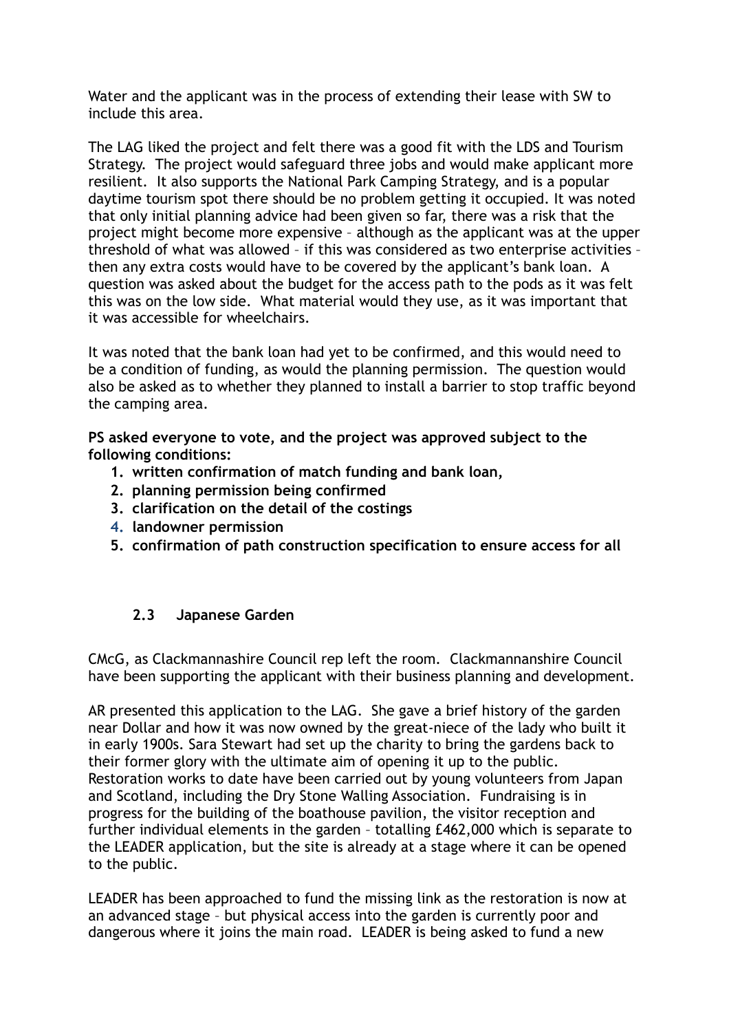Water and the applicant was in the process of extending their lease with SW to include this area.

The LAG liked the project and felt there was a good fit with the LDS and Tourism Strategy. The project would safeguard three jobs and would make applicant more resilient. It also supports the National Park Camping Strategy, and is a popular daytime tourism spot there should be no problem getting it occupied. It was noted that only initial planning advice had been given so far, there was a risk that the project might become more expensive – although as the applicant was at the upper threshold of what was allowed – if this was considered as two enterprise activities – then any extra costs would have to be covered by the applicant's bank loan. A question was asked about the budget for the access path to the pods as it was felt this was on the low side. What material would they use, as it was important that it was accessible for wheelchairs.

It was noted that the bank loan had yet to be confirmed, and this would need to be a condition of funding, as would the planning permission. The question would also be asked as to whether they planned to install a barrier to stop traffic beyond the camping area.

PS asked everyone to vote, and the project was approved subject to the following conditions:

- 1. written confirmation of match funding and bank loan,
- 2. planning permission being confirmed
- 3. clarification on the detail of the costings
- 4. landowner permission
- 5. confirmation of path construction specification to ensure access for all

## 2.3 Japanese Garden

CMcG, as Clackmannashire Council rep left the room. Clackmannanshire Council have been supporting the applicant with their business planning and development.

AR presented this application to the LAG. She gave a brief history of the garden near Dollar and how it was now owned by the great-niece of the lady who built it in early 1900s. Sara Stewart had set up the charity to bring the gardens back to their former glory with the ultimate aim of opening it up to the public. Restoration works to date have been carried out by young volunteers from Japan and Scotland, including the Dry Stone Walling Association. Fundraising is in progress for the building of the boathouse pavilion, the visitor reception and further individual elements in the garden – totalling £462,000 which is separate to the LEADER application, but the site is already at a stage where it can be opened to the public.

LEADER has been approached to fund the missing link as the restoration is now at an advanced stage – but physical access into the garden is currently poor and dangerous where it joins the main road. LEADER is being asked to fund a new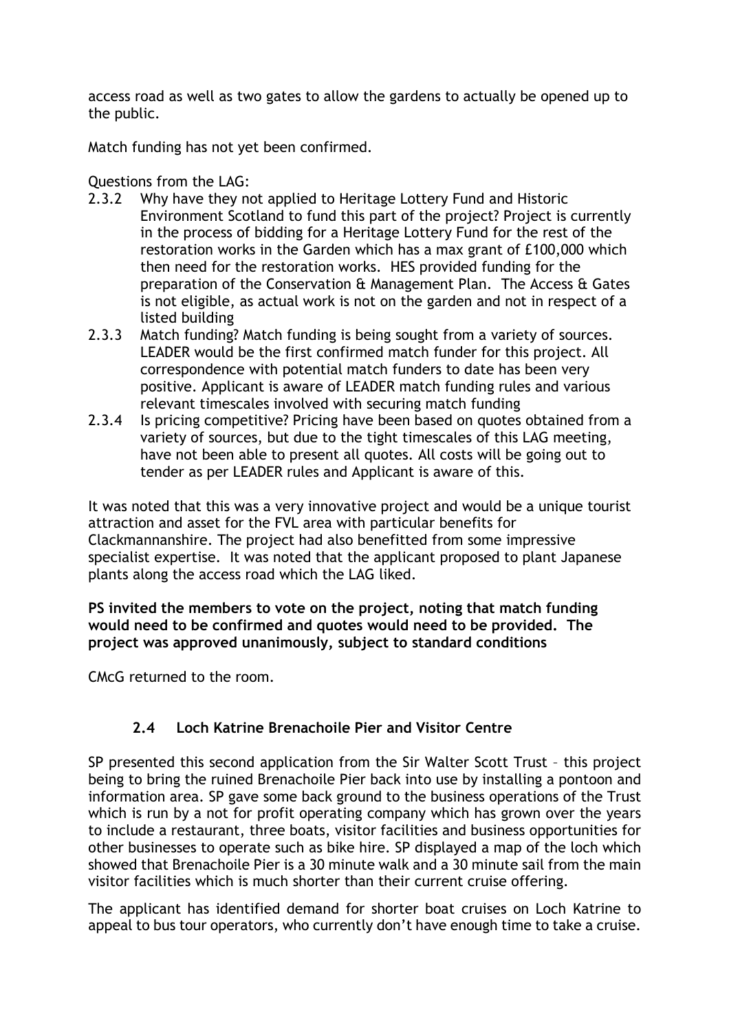access road as well as two gates to allow the gardens to actually be opened up to the public.

Match funding has not yet been confirmed.

Questions from the LAG:

- 2.3.2 Why have they not applied to Heritage Lottery Fund and Historic Environment Scotland to fund this part of the project? Project is currently in the process of bidding for a Heritage Lottery Fund for the rest of the restoration works in the Garden which has a max grant of £100,000 which then need for the restoration works. HES provided funding for the preparation of the Conservation & Management Plan. The Access & Gates is not eligible, as actual work is not on the garden and not in respect of a listed building
- 2.3.3 Match funding? Match funding is being sought from a variety of sources. LEADER would be the first confirmed match funder for this project. All correspondence with potential match funders to date has been very positive. Applicant is aware of LEADER match funding rules and various relevant timescales involved with securing match funding
- 2.3.4 Is pricing competitive? Pricing have been based on quotes obtained from a variety of sources, but due to the tight timescales of this LAG meeting, have not been able to present all quotes. All costs will be going out to tender as per LEADER rules and Applicant is aware of this.

It was noted that this was a very innovative project and would be a unique tourist attraction and asset for the FVL area with particular benefits for Clackmannanshire. The project had also benefitted from some impressive specialist expertise. It was noted that the applicant proposed to plant Japanese plants along the access road which the LAG liked.

PS invited the members to vote on the project, noting that match funding would need to be confirmed and quotes would need to be provided. The project was approved unanimously, subject to standard conditions

CMcG returned to the room.

# 2.4 Loch Katrine Brenachoile Pier and Visitor Centre

SP presented this second application from the Sir Walter Scott Trust – this project being to bring the ruined Brenachoile Pier back into use by installing a pontoon and information area. SP gave some back ground to the business operations of the Trust which is run by a not for profit operating company which has grown over the years to include a restaurant, three boats, visitor facilities and business opportunities for other businesses to operate such as bike hire. SP displayed a map of the loch which showed that Brenachoile Pier is a 30 minute walk and a 30 minute sail from the main visitor facilities which is much shorter than their current cruise offering.

The applicant has identified demand for shorter boat cruises on Loch Katrine to appeal to bus tour operators, who currently don't have enough time to take a cruise.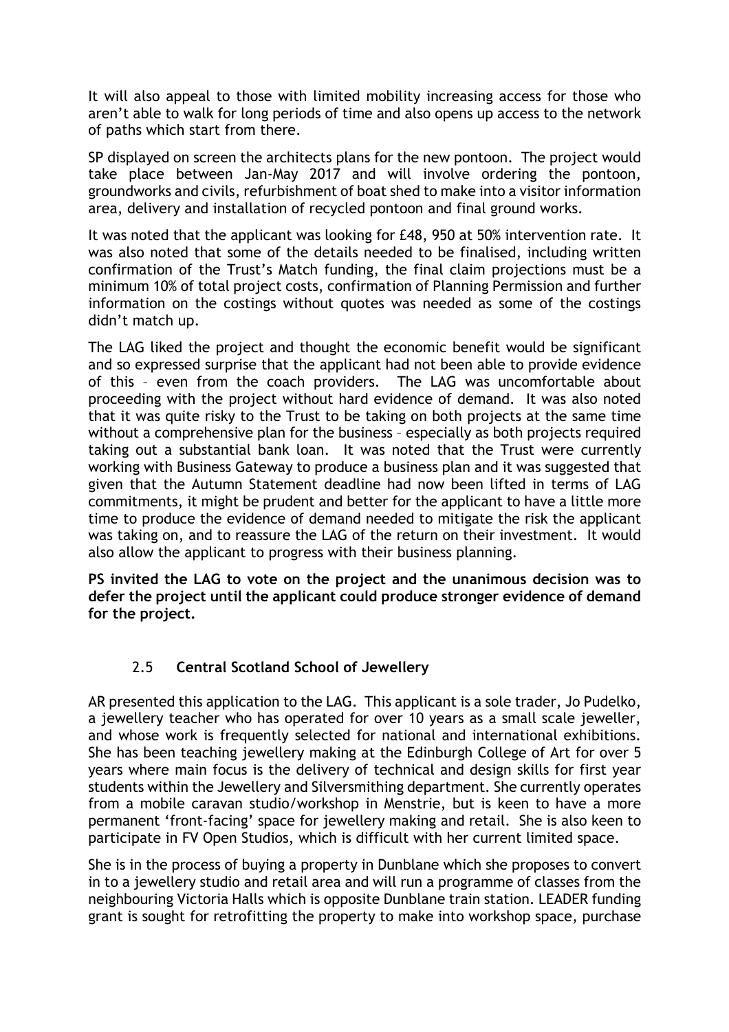It will also appeal to those with limited mobility increasing access for those who aren't able to walk for long periods of time and also opens up access to the network of paths which start from there.

SP displayed on screen the architects plans for the new pontoon. The project would take place between Jan-May 2017 and will involve ordering the pontoon, groundworks and civils, refurbishment of boat shed to make into a visitor information area, delivery and installation of recycled pontoon and final ground works.

It was noted that the applicant was looking for £48, 950 at 50% intervention rate. It was also noted that some of the details needed to be finalised, including written confirmation of the Trust's Match funding, the final claim projections must be a minimum 10% of total project costs, confirmation of Planning Permission and further information on the costings without quotes was needed as some of the costings didn't match up.

The LAG liked the project and thought the economic benefit would be significant and so expressed surprise that the applicant had not been able to provide evidence of this – even from the coach providers. The LAG was uncomfortable about proceeding with the project without hard evidence of demand. It was also noted that it was quite risky to the Trust to be taking on both projects at the same time without a comprehensive plan for the business – especially as both projects required taking out a substantial bank loan. It was noted that the Trust were currently working with Business Gateway to produce a business plan and it was suggested that given that the Autumn Statement deadline had now been lifted in terms of LAG commitments, it might be prudent and better for the applicant to have a little more time to produce the evidence of demand needed to mitigate the risk the applicant was taking on, and to reassure the LAG of the return on their investment. It would also allow the applicant to progress with their business planning.

PS invited the LAG to vote on the project and the unanimous decision was to defer the project until the applicant could produce stronger evidence of demand for the project.

## 2.5 Central Scotland School of Jewellery

AR presented this application to the LAG. This applicant is a sole trader, Jo Pudelko, a jewellery teacher who has operated for over 10 years as a small scale jeweller, and whose work is frequently selected for national and international exhibitions. She has been teaching jewellery making at the Edinburgh College of Art for over 5 years where main focus is the delivery of technical and design skills for first year students within the Jewellery and Silversmithing department. She currently operates from a mobile caravan studio/workshop in Menstrie, but is keen to have a more permanent 'front-facing' space for jewellery making and retail. She is also keen to participate in FV Open Studios, which is difficult with her current limited space.

She is in the process of buying a property in Dunblane which she proposes to convert in to a jewellery studio and retail area and will run a programme of classes from the neighbouring Victoria Halls which is opposite Dunblane train station. LEADER funding grant is sought for retrofitting the property to make into workshop space, purchase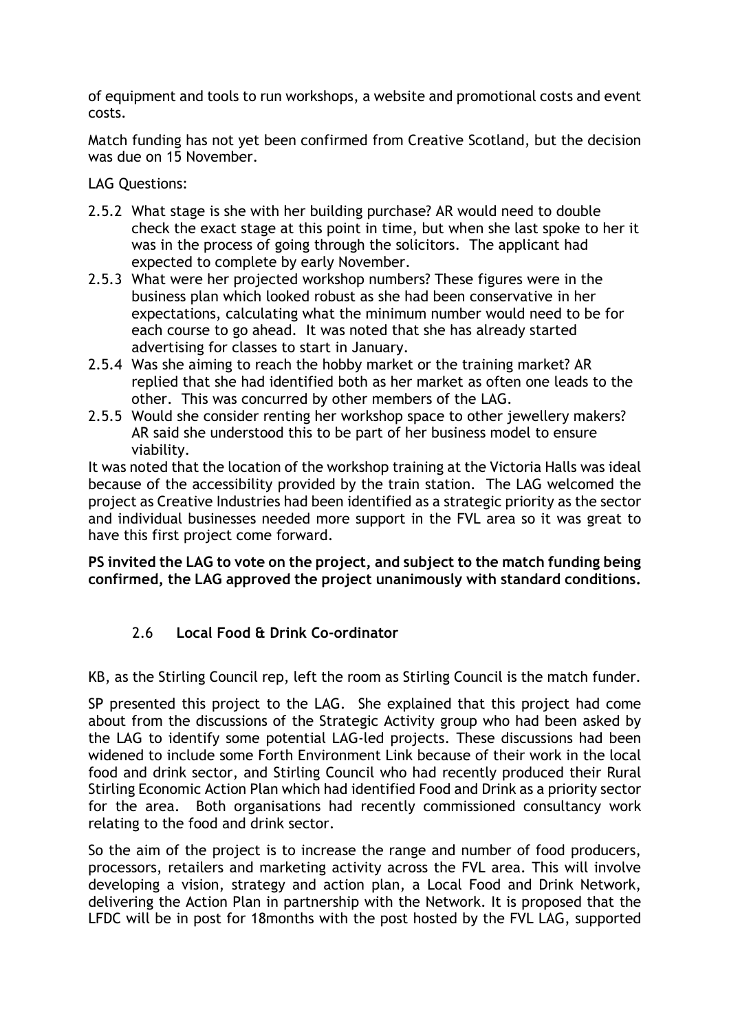of equipment and tools to run workshops, a website and promotional costs and event costs.

Match funding has not yet been confirmed from Creative Scotland, but the decision was due on 15 November.

LAG Questions:

- 2.5.2 What stage is she with her building purchase? AR would need to double check the exact stage at this point in time, but when she last spoke to her it was in the process of going through the solicitors. The applicant had expected to complete by early November.
- 2.5.3 What were her projected workshop numbers? These figures were in the business plan which looked robust as she had been conservative in her expectations, calculating what the minimum number would need to be for each course to go ahead. It was noted that she has already started advertising for classes to start in January.
- 2.5.4 Was she aiming to reach the hobby market or the training market? AR replied that she had identified both as her market as often one leads to the other. This was concurred by other members of the LAG.
- 2.5.5 Would she consider renting her workshop space to other jewellery makers? AR said she understood this to be part of her business model to ensure viability.

It was noted that the location of the workshop training at the Victoria Halls was ideal because of the accessibility provided by the train station. The LAG welcomed the project as Creative Industries had been identified as a strategic priority as the sector and individual businesses needed more support in the FVL area so it was great to have this first project come forward.

PS invited the LAG to vote on the project, and subject to the match funding being confirmed, the LAG approved the project unanimously with standard conditions.

# 2.6 Local Food & Drink Co-ordinator

KB, as the Stirling Council rep, left the room as Stirling Council is the match funder.

SP presented this project to the LAG. She explained that this project had come about from the discussions of the Strategic Activity group who had been asked by the LAG to identify some potential LAG-led projects. These discussions had been widened to include some Forth Environment Link because of their work in the local food and drink sector, and Stirling Council who had recently produced their Rural Stirling Economic Action Plan which had identified Food and Drink as a priority sector for the area. Both organisations had recently commissioned consultancy work relating to the food and drink sector.

So the aim of the project is to increase the range and number of food producers, processors, retailers and marketing activity across the FVL area. This will involve developing a vision, strategy and action plan, a Local Food and Drink Network, delivering the Action Plan in partnership with the Network. It is proposed that the LFDC will be in post for 18months with the post hosted by the FVL LAG, supported